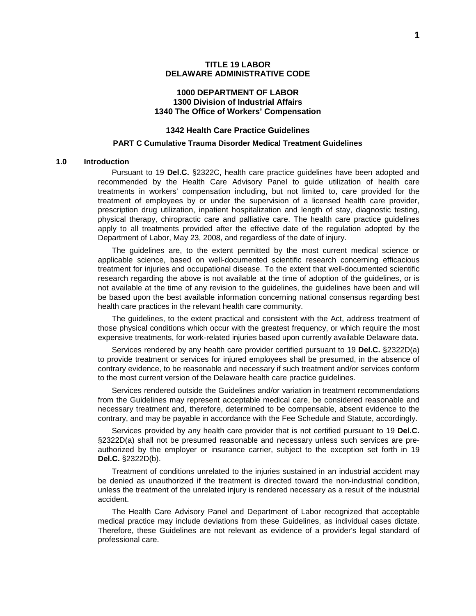#### **1000 DEPARTMENT OF LABOR 1300 Division of Industrial Affairs 1340 The Office of Workers' Compensation**

### **1342 Health Care Practice Guidelines**

#### **PART C Cumulative Trauma Disorder Medical Treatment Guidelines**

#### **1.0 Introduction**

Pursuant to 19 **Del.C.** §2322C, health care practice guidelines have been adopted and recommended by the Health Care Advisory Panel to guide utilization of health care treatments in workers' compensation including, but not limited to, care provided for the treatment of employees by or under the supervision of a licensed health care provider, prescription drug utilization, inpatient hospitalization and length of stay, diagnostic testing, physical therapy, chiropractic care and palliative care. The health care practice guidelines apply to all treatments provided after the effective date of the regulation adopted by the Department of Labor, May 23, 2008, and regardless of the date of injury.

The guidelines are, to the extent permitted by the most current medical science or applicable science, based on well-documented scientific research concerning efficacious treatment for injuries and occupational disease. To the extent that well-documented scientific research regarding the above is not available at the time of adoption of the guidelines, or is not available at the time of any revision to the guidelines, the guidelines have been and will be based upon the best available information concerning national consensus regarding best health care practices in the relevant health care community.

The guidelines, to the extent practical and consistent with the Act, address treatment of those physical conditions which occur with the greatest frequency, or which require the most expensive treatments, for work-related injuries based upon currently available Delaware data.

Services rendered by any health care provider certified pursuant to 19 **Del.C.** §2322D(a) to provide treatment or services for injured employees shall be presumed, in the absence of contrary evidence, to be reasonable and necessary if such treatment and/or services conform to the most current version of the Delaware health care practice guidelines.

Services rendered outside the Guidelines and/or variation in treatment recommendations from the Guidelines may represent acceptable medical care, be considered reasonable and necessary treatment and, therefore, determined to be compensable, absent evidence to the contrary, and may be payable in accordance with the Fee Schedule and Statute, accordingly.

Services provided by any health care provider that is not certified pursuant to 19 **Del.C.** §2322D(a) shall not be presumed reasonable and necessary unless such services are preauthorized by the employer or insurance carrier, subject to the exception set forth in 19 **Del.C.** §2322D(b).

Treatment of conditions unrelated to the injuries sustained in an industrial accident may be denied as unauthorized if the treatment is directed toward the non-industrial condition, unless the treatment of the unrelated injury is rendered necessary as a result of the industrial accident.

The Health Care Advisory Panel and Department of Labor recognized that acceptable medical practice may include deviations from these Guidelines, as individual cases dictate. Therefore, these Guidelines are not relevant as evidence of a provider's legal standard of professional care.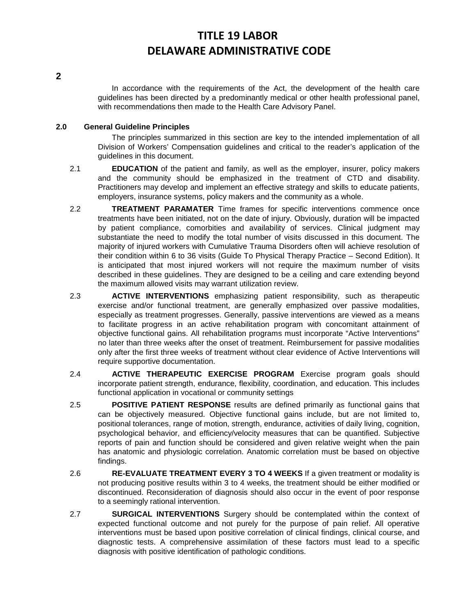**2**

In accordance with the requirements of the Act, the development of the health care guidelines has been directed by a predominantly medical or other health professional panel, with recommendations then made to the Health Care Advisory Panel.

### **2.0 General Guideline Principles**

The principles summarized in this section are key to the intended implementation of all Division of Workers' Compensation guidelines and critical to the reader's application of the guidelines in this document.

- 2.1 **EDUCATION** of the patient and family, as well as the employer, insurer, policy makers and the community should be emphasized in the treatment of CTD and disability. Practitioners may develop and implement an effective strategy and skills to educate patients, employers, insurance systems, policy makers and the community as a whole.
- 2.2 **TREATMENT PARAMATER** Time frames for specific interventions commence once treatments have been initiated, not on the date of injury. Obviously, duration will be impacted by patient compliance, comorbities and availability of services. Clinical judgment may substantiate the need to modify the total number of visits discussed in this document. The majority of injured workers with Cumulative Trauma Disorders often will achieve resolution of their condition within 6 to 36 visits (Guide To Physical Therapy Practice – Second Edition). It is anticipated that most injured workers will not require the maximum number of visits described in these guidelines. They are designed to be a ceiling and care extending beyond the maximum allowed visits may warrant utilization review.
- 2.3 **ACTIVE INTERVENTIONS** emphasizing patient responsibility, such as therapeutic exercise and/or functional treatment, are generally emphasized over passive modalities, especially as treatment progresses. Generally, passive interventions are viewed as a means to facilitate progress in an active rehabilitation program with concomitant attainment of objective functional gains. All rehabilitation programs must incorporate "Active Interventions" no later than three weeks after the onset of treatment. Reimbursement for passive modalities only after the first three weeks of treatment without clear evidence of Active Interventions will require supportive documentation.
- 2.4 **ACTIVE THERAPEUTIC EXERCISE PROGRAM** Exercise program goals should incorporate patient strength, endurance, flexibility, coordination, and education. This includes functional application in vocational or community settings
- 2.5 **POSITIVE PATIENT RESPONSE** results are defined primarily as functional gains that can be objectively measured. Objective functional gains include, but are not limited to, positional tolerances, range of motion, strength, endurance, activities of daily living, cognition, psychological behavior, and efficiency/velocity measures that can be quantified. Subjective reports of pain and function should be considered and given relative weight when the pain has anatomic and physiologic correlation. Anatomic correlation must be based on objective findings.
- 2.6 **RE-EVALUATE TREATMENT EVERY 3 TO 4 WEEKS** If a given treatment or modality is not producing positive results within 3 to 4 weeks, the treatment should be either modified or discontinued. Reconsideration of diagnosis should also occur in the event of poor response to a seemingly rational intervention.
- 2.7 **SURGICAL INTERVENTIONS** Surgery should be contemplated within the context of expected functional outcome and not purely for the purpose of pain relief. All operative interventions must be based upon positive correlation of clinical findings, clinical course, and diagnostic tests. A comprehensive assimilation of these factors must lead to a specific diagnosis with positive identification of pathologic conditions.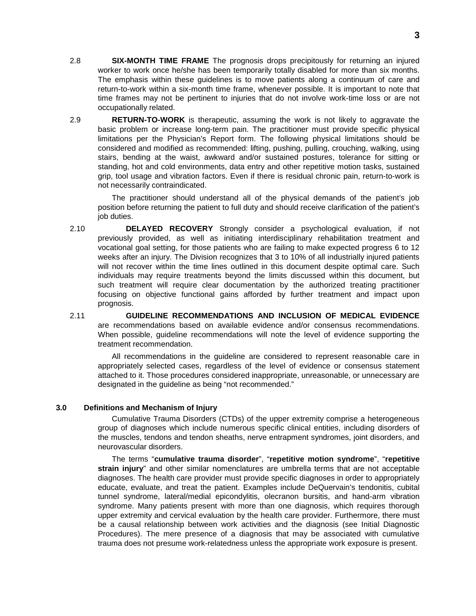- 2.8 **SIX-MONTH TIME FRAME** The prognosis drops precipitously for returning an injured worker to work once he/she has been temporarily totally disabled for more than six months. The emphasis within these guidelines is to move patients along a continuum of care and return-to-work within a six-month time frame, whenever possible. It is important to note that time frames may not be pertinent to injuries that do not involve work-time loss or are not occupationally related.
- 2.9 **RETURN-TO-WORK** is therapeutic, assuming the work is not likely to aggravate the basic problem or increase long-term pain. The practitioner must provide specific physical limitations per the Physician's Report form. The following physical limitations should be considered and modified as recommended: lifting, pushing, pulling, crouching, walking, using stairs, bending at the waist, awkward and/or sustained postures, tolerance for sitting or standing, hot and cold environments, data entry and other repetitive motion tasks, sustained grip, tool usage and vibration factors. Even if there is residual chronic pain, return-to-work is not necessarily contraindicated.

The practitioner should understand all of the physical demands of the patient's job position before returning the patient to full duty and should receive clarification of the patient's job duties.

- 2.10 **DELAYED RECOVERY** Strongly consider a psychological evaluation, if not previously provided, as well as initiating interdisciplinary rehabilitation treatment and vocational goal setting, for those patients who are failing to make expected progress 6 to 12 weeks after an injury. The Division recognizes that 3 to 10% of all industrially injured patients will not recover within the time lines outlined in this document despite optimal care. Such individuals may require treatments beyond the limits discussed within this document, but such treatment will require clear documentation by the authorized treating practitioner focusing on objective functional gains afforded by further treatment and impact upon prognosis.
- 2.11 **GUIDELINE RECOMMENDATIONS AND INCLUSION OF MEDICAL EVIDENCE** are recommendations based on available evidence and/or consensus recommendations. When possible, guideline recommendations will note the level of evidence supporting the treatment recommendation.

All recommendations in the guideline are considered to represent reasonable care in appropriately selected cases, regardless of the level of evidence or consensus statement attached to it. Those procedures considered inappropriate, unreasonable, or unnecessary are designated in the guideline as being "not recommended."

#### **3.0 Definitions and Mechanism of Injury**

Cumulative Trauma Disorders (CTDs) of the upper extremity comprise a heterogeneous group of diagnoses which include numerous specific clinical entities, including disorders of the muscles, tendons and tendon sheaths, nerve entrapment syndromes, joint disorders, and neurovascular disorders.

The terms "**cumulative trauma disorder**", "**repetitive motion syndrome**", "**repetitive strain injury**" and other similar nomenclatures are umbrella terms that are not acceptable diagnoses. The health care provider must provide specific diagnoses in order to appropriately educate, evaluate, and treat the patient. Examples include DeQuervain's tendonitis, cubital tunnel syndrome, lateral/medial epicondylitis, olecranon bursitis, and hand-arm vibration syndrome. Many patients present with more than one diagnosis, which requires thorough upper extremity and cervical evaluation by the health care provider. Furthermore, there must be a causal relationship between work activities and the diagnosis (see Initial Diagnostic Procedures). The mere presence of a diagnosis that may be associated with cumulative trauma does not presume work-relatedness unless the appropriate work exposure is present.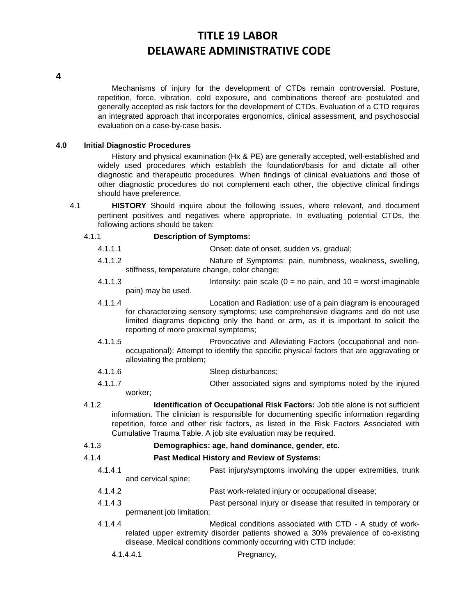**4**

Mechanisms of injury for the development of CTDs remain controversial. Posture, repetition, force, vibration, cold exposure, and combinations thereof are postulated and generally accepted as risk factors for the development of CTDs. Evaluation of a CTD requires an integrated approach that incorporates ergonomics, clinical assessment, and psychosocial evaluation on a case-by-case basis.

### **4.0 Initial Diagnostic Procedures**

History and physical examination (Hx & PE) are generally accepted, well-established and widely used procedures which establish the foundation/basis for and dictate all other diagnostic and therapeutic procedures. When findings of clinical evaluations and those of other diagnostic procedures do not complement each other, the objective clinical findings should have preference.

4.1 **HISTORY** Should inquire about the following issues, where relevant, and document pertinent positives and negatives where appropriate. In evaluating potential CTDs, the following actions should be taken:

### 4.1.1 **Description of Symptoms:**

- 4.1.1.1 Onset: date of onset, sudden vs. gradual;
- 4.1.1.2 Nature of Symptoms: pain, numbness, weakness, swelling, stiffness, temperature change, color change;
- 4.1.1.3 Intensity: pain scale (0 = no pain, and 10 = worst imaginable pain) may be used.
- 4.1.1.4 Location and Radiation: use of a pain diagram is encouraged for characterizing sensory symptoms; use comprehensive diagrams and do not use limited diagrams depicting only the hand or arm, as it is important to solicit the reporting of more proximal symptoms;
- 4.1.1.5 Provocative and Alleviating Factors (occupational and nonoccupational): Attempt to identify the specific physical factors that are aggravating or alleviating the problem;
- 4.1.1.6 Sleep disturbances;
- 4.1.1.7 Other associated signs and symptoms noted by the injured worker;
- 4.1.2 **Identification of Occupational Risk Factors:** Job title alone is not sufficient information. The clinician is responsible for documenting specific information regarding repetition, force and other risk factors, as listed in the Risk Factors Associated with Cumulative Trauma Table. A job site evaluation may be required.
- 4.1.3 **Demographics: age, hand dominance, gender, etc.**

### 4.1.4 **Past Medical History and Review of Systems:**

- 4.1.4.1 Past injury/symptoms involving the upper extremities, trunk and cervical spine;
- 4.1.4.2 Past work-related injury or occupational disease;
- 4.1.4.3 Past personal injury or disease that resulted in temporary or permanent job limitation;
- 4.1.4.4 Medical conditions associated with CTD A study of workrelated upper extremity disorder patients showed a 30% prevalence of co-existing disease. Medical conditions commonly occurring with CTD include:
	- 4.1.4.4.1 Pregnancy,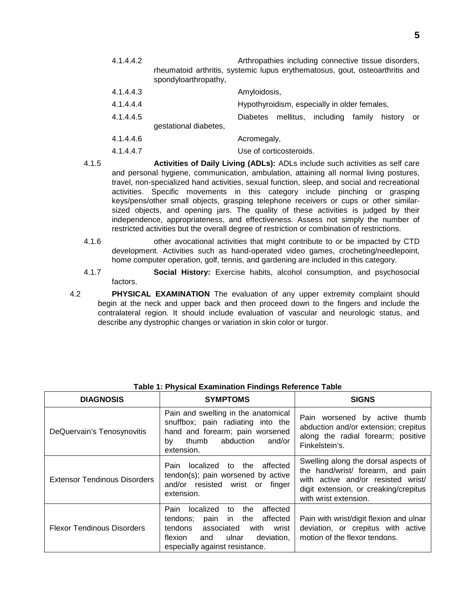4.1.4.4.2 Arthropathies including connective tissue disorders, rheumatoid arthritis, systemic lupus erythematosus, gout, osteoarthritis and spondyloarthropathy,

| 4.1.4.4.3 |                       | Amyloidosis,    |                         |                                              |            |  |
|-----------|-----------------------|-----------------|-------------------------|----------------------------------------------|------------|--|
| 4.1.4.4.4 |                       |                 |                         | Hypothyroidism, especially in older females, |            |  |
| 4.1.4.4.5 | gestational diabetes, | <b>Diabetes</b> |                         | mellitus, including family                   | history or |  |
| 4.1.4.4.6 |                       | Acromegaly,     |                         |                                              |            |  |
| 4.1.4.4.7 |                       |                 | Use of corticosteroids. |                                              |            |  |

- 4.1.5 **Activities of Daily Living (ADLs):** ADLs include such activities as self care and personal hygiene, communication, ambulation, attaining all normal living postures, travel, non-specialized hand activities, sexual function, sleep, and social and recreational activities. Specific movements in this category include pinching or grasping keys/pens/other small objects, grasping telephone receivers or cups or other similarsized objects, and opening jars. The quality of these activities is judged by their independence, appropriateness, and effectiveness. Assess not simply the number of restricted activities but the overall degree of restriction or combination of restrictions.
- 4.1.6 other avocational activities that might contribute to or be impacted by CTD development. Activities such as hand-operated video games, crocheting/needlepoint, home computer operation, golf, tennis, and gardening are included in this category.
- 4.1.7 **Social History:** Exercise habits, alcohol consumption, and psychosocial factors.
- 4.2 **PHYSICAL EXAMINATION** The evaluation of any upper extremity complaint should begin at the neck and upper back and then proceed down to the fingers and include the contralateral region. It should include evaluation of vascular and neurologic status, and describe any dystrophic changes or variation in skin color or turgor.

| <b>DIAGNOSIS</b>                    | <b>SYMPTOMS</b>                                                                                                                                                                                           | <b>SIGNS</b>                                                                                                                                                                      |
|-------------------------------------|-----------------------------------------------------------------------------------------------------------------------------------------------------------------------------------------------------------|-----------------------------------------------------------------------------------------------------------------------------------------------------------------------------------|
| DeQuervain's Tenosynovitis          | Pain and swelling in the anatomical<br>snuffbox; pain radiating into the<br>hand and forearm; pain worsened<br>thumb<br>abduction<br>and/or<br>bv<br>extension.                                           | Pain worsened by active thumb<br>abduction and/or extension; crepitus<br>along the radial forearm; positive<br>Finkelstein's.                                                     |
| <b>Extensor Tendinous Disorders</b> | affected<br>localized to the<br>Pain<br>tendon(s); pain worsened by active<br>and/or resisted wrist or<br>finger<br>extension.                                                                            | Swelling along the dorsal aspects of<br>the hand/wrist/ forearm, and pain<br>with active and/or resisted wrist/<br>digit extension, or creaking/crepitus<br>with wrist extension. |
| <b>Flexor Tendinous Disorders</b>   | localized<br>affected<br>Pain<br>the<br>to<br>tendons;<br>affected<br>in the<br>pain<br>tendons<br>associated<br>with<br>wrist<br>flexion<br>ulnar<br>deviation,<br>and<br>especially against resistance. | Pain with wrist/digit flexion and ulnar<br>deviation, or crepitus with active<br>motion of the flexor tendons.                                                                    |

**Table 1: Physical Examination Findings Reference Table**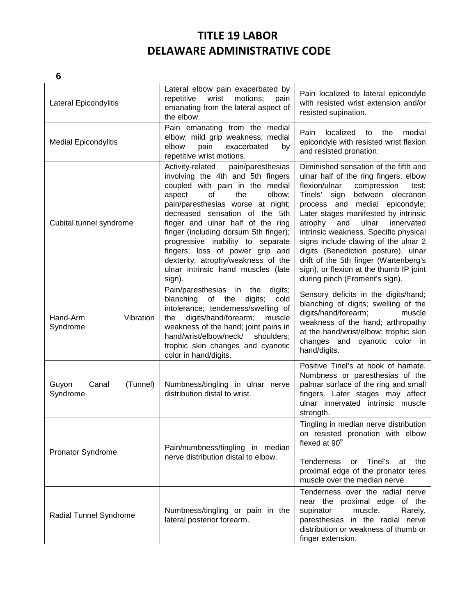| Lateral Epicondylitis                  | Lateral elbow pain exacerbated by<br>Pain localized to lateral epicondyle<br>repetitive<br>wrist<br>motions;<br>pain<br>with resisted wrist extension and/or<br>emanating from the lateral aspect of<br>resisted supination.<br>the elbow.                                                                                                                                                                                                                        |                                                                                                                                                                                                                                                                                                                                                                                                                                                                                                                                  |
|----------------------------------------|-------------------------------------------------------------------------------------------------------------------------------------------------------------------------------------------------------------------------------------------------------------------------------------------------------------------------------------------------------------------------------------------------------------------------------------------------------------------|----------------------------------------------------------------------------------------------------------------------------------------------------------------------------------------------------------------------------------------------------------------------------------------------------------------------------------------------------------------------------------------------------------------------------------------------------------------------------------------------------------------------------------|
| <b>Medial Epicondylitis</b>            | Pain emanating from the medial<br>elbow; mild grip weakness; medial<br>elbow<br>pain<br>exacerbated<br>by<br>repetitive wrist motions.                                                                                                                                                                                                                                                                                                                            | Pain<br>localized<br>the<br>medial<br>to<br>epicondyle with resisted wrist flexion<br>and resisted pronation.                                                                                                                                                                                                                                                                                                                                                                                                                    |
| Cubital tunnel syndrome                | pain/paresthesias<br>Activity-related<br>involving the 4th and 5th fingers<br>coupled with pain in the medial<br>of<br>the<br>aspect<br>elbow;<br>pain/paresthesias worse at night;<br>decreased sensation of the 5th<br>finger and ulnar half of the ring<br>finger (including dorsum 5th finger);<br>progressive inability to separate<br>fingers; loss of power grip and<br>dexterity; atrophy/weakness of the<br>ulnar intrinsic hand muscles (late<br>sign). | Diminished sensation of the fifth and<br>ulnar half of the ring fingers; elbow<br>compression<br>flexion/ulnar<br>test;<br>Tinels'<br>sign<br>between olecranon<br>process and medial epicondyle;<br>Later stages manifested by intrinsic<br>atrophy<br>and<br>ulnar<br>innervated<br>intrinsic weakness. Specific physical<br>signs include clawing of the ulnar 2<br>digits (Benediction posture), ulnar<br>drift of the 5th finger (Wartenberg's<br>sign), or flexion at the thumb IP joint<br>during pinch (Froment's sign). |
| Hand-Arm<br>Vibration<br>Syndrome      | Pain/paresthesias<br>in<br>digits;<br>the<br>cold<br>blanching<br>of<br>the<br>digits;<br>intolerance; tenderness/swelling of<br>digits/hand/forearm;<br>muscle<br>the<br>weakness of the hand; joint pains in<br>hand/wrist/elbow/neck/<br>shoulders;<br>trophic skin changes and cyanotic<br>color in hand/digits.                                                                                                                                              | Sensory deficits in the digits/hand;<br>blanching of digits; swelling of the<br>digits/hand/forearm;<br>muscle<br>weakness of the hand; arthropathy<br>at the hand/wrist/elbow; trophic skin<br>changes and cyanotic color in<br>hand/digits.                                                                                                                                                                                                                                                                                    |
| Guyon<br>Canal<br>(Tunnel)<br>Syndrome | Numbness/tingling in ulnar nerve<br>distribution distal to wrist.                                                                                                                                                                                                                                                                                                                                                                                                 | Positive Tinel's at hook of hamate.<br>Numbness or paresthesias of the<br>palmar surface of the ring and small<br>fingers. Later stages may affect<br>ulnar innervated intrinsic muscle<br>strength.                                                                                                                                                                                                                                                                                                                             |
| <b>Pronator Syndrome</b>               | Pain/numbness/tingling in median<br>nerve distribution distal to elbow.                                                                                                                                                                                                                                                                                                                                                                                           | Tingling in median nerve distribution<br>on resisted pronation with elbow<br>flexed at 90°<br>Tenderness<br>Tinel's<br><b>or</b><br>the<br>at<br>proximal edge of the pronator teres<br>muscle over the median nerve.                                                                                                                                                                                                                                                                                                            |
| Radial Tunnel Syndrome                 | Numbness/tingling or pain in the<br>lateral posterior forearm.                                                                                                                                                                                                                                                                                                                                                                                                    | Tenderness over the radial nerve<br>near the proximal edge of the<br>muscle.<br>supinator<br>Rarely,<br>paresthesias in the radial nerve<br>distribution or weakness of thumb or<br>finger extension.                                                                                                                                                                                                                                                                                                                            |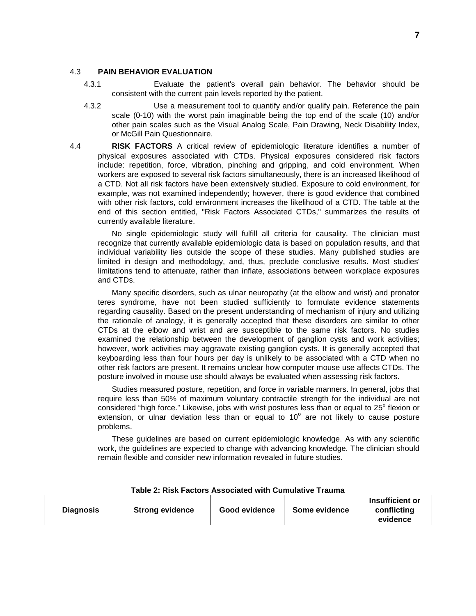#### 4.3 **PAIN BEHAVIOR EVALUATION**

- 4.3.1 Evaluate the patient's overall pain behavior. The behavior should be consistent with the current pain levels reported by the patient.
- 4.3.2 Use a measurement tool to quantify and/or qualify pain. Reference the pain scale (0-10) with the worst pain imaginable being the top end of the scale (10) and/or other pain scales such as the Visual Analog Scale, Pain Drawing, Neck Disability Index, or McGill Pain Questionnaire.
- 4.4 **RISK FACTORS** A critical review of epidemiologic literature identifies a number of physical exposures associated with CTDs. Physical exposures considered risk factors include: repetition, force, vibration, pinching and gripping, and cold environment. When workers are exposed to several risk factors simultaneously, there is an increased likelihood of a CTD. Not all risk factors have been extensively studied. Exposure to cold environment, for example, was not examined independently; however, there is good evidence that combined with other risk factors, cold environment increases the likelihood of a CTD. The table at the end of this section entitled, "Risk Factors Associated CTDs," summarizes the results of currently available literature.

No single epidemiologic study will fulfill all criteria for causality. The clinician must recognize that currently available epidemiologic data is based on population results, and that individual variability lies outside the scope of these studies. Many published studies are limited in design and methodology, and, thus, preclude conclusive results. Most studies' limitations tend to attenuate, rather than inflate, associations between workplace exposures and CTDs.

Many specific disorders, such as ulnar neuropathy (at the elbow and wrist) and pronator teres syndrome, have not been studied sufficiently to formulate evidence statements regarding causality. Based on the present understanding of mechanism of injury and utilizing the rationale of analogy, it is generally accepted that these disorders are similar to other CTDs at the elbow and wrist and are susceptible to the same risk factors. No studies examined the relationship between the development of ganglion cysts and work activities; however, work activities may aggravate existing ganglion cysts. It is generally accepted that keyboarding less than four hours per day is unlikely to be associated with a CTD when no other risk factors are present. It remains unclear how computer mouse use affects CTDs. The posture involved in mouse use should always be evaluated when assessing risk factors.

Studies measured posture, repetition, and force in variable manners. In general, jobs that require less than 50% of maximum voluntary contractile strength for the individual are not considered "high force." Likewise, jobs with wrist postures less than or equal to  $25^{\circ}$  flexion or extension, or ulnar deviation less than or equal to  $10^{\circ}$  are not likely to cause posture problems.

These guidelines are based on current epidemiologic knowledge. As with any scientific work, the guidelines are expected to change with advancing knowledge. The clinician should remain flexible and consider new information revealed in future studies.

| <b>Diagnosis</b><br><b>Strong evidence</b> | <b>Good evidence</b> | Some evidence | Insufficient or<br>conflicting<br>evidence |
|--------------------------------------------|----------------------|---------------|--------------------------------------------|
|--------------------------------------------|----------------------|---------------|--------------------------------------------|

#### **Table 2: Risk Factors Associated with Cumulative Trauma**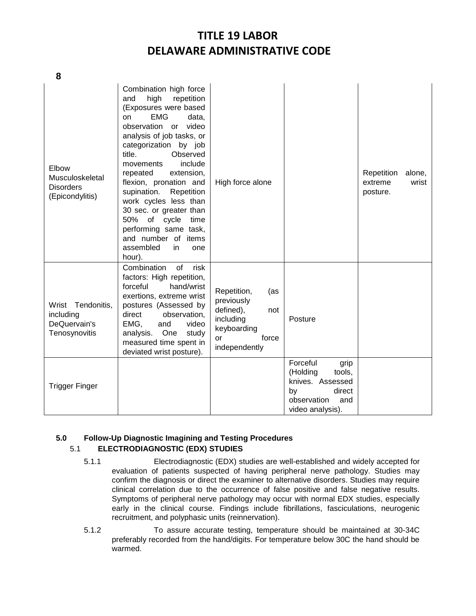| Elbow<br>Musculoskeletal<br><b>Disorders</b><br>(Epicondylitis) | Combination high force<br>high<br>repetition<br>and<br>(Exposures were based<br><b>EMG</b><br>on<br>data,<br>observation or<br>video<br>analysis of job tasks, or<br>categorization by job<br>title.<br>Observed<br>include<br>movements<br>extension,<br>repeated<br>flexion, pronation and<br>supination.<br>Repetition<br>work cycles less than<br>30 sec. or greater than<br>50%<br>of cycle<br>time<br>performing same task,<br>and number of items<br>assembled<br>in<br>one<br>hour). | High force alone                                                                                                 |                                                                                                                      | Repetition<br>alone,<br>extreme<br>wrist<br>posture. |
|-----------------------------------------------------------------|----------------------------------------------------------------------------------------------------------------------------------------------------------------------------------------------------------------------------------------------------------------------------------------------------------------------------------------------------------------------------------------------------------------------------------------------------------------------------------------------|------------------------------------------------------------------------------------------------------------------|----------------------------------------------------------------------------------------------------------------------|------------------------------------------------------|
| Wrist Tendonitis,<br>including<br>DeQuervain's<br>Tenosynovitis | Combination<br>οf<br>risk<br>factors: High repetition,<br>forceful<br>hand/wrist<br>exertions, extreme wrist<br>postures (Assessed by<br>direct<br>observation,<br>EMG,<br>and<br>video<br>One<br>analysis.<br>study<br>measured time spent in<br>deviated wrist posture).                                                                                                                                                                                                                   | Repetition,<br>(as<br>previously<br>defined),<br>not<br>including<br>keyboarding<br>force<br>or<br>independently | Posture                                                                                                              |                                                      |
| <b>Trigger Finger</b>                                           |                                                                                                                                                                                                                                                                                                                                                                                                                                                                                              |                                                                                                                  | Forceful<br>grip<br>(Holding<br>tools,<br>knives. Assessed<br>by<br>direct<br>observation<br>and<br>video analysis). |                                                      |

### **5.0 Follow-Up Diagnostic Imagining and Testing Procedures** 5.1 **ELECTRODIAGNOSTIC (EDX) STUDIES**

- 5.1.1 Electrodiagnostic (EDX) studies are well-established and widely accepted for evaluation of patients suspected of having peripheral nerve pathology. Studies may confirm the diagnosis or direct the examiner to alternative disorders. Studies may require clinical correlation due to the occurrence of false positive and false negative results. Symptoms of peripheral nerve pathology may occur with normal EDX studies, especially early in the clinical course. Findings include fibrillations, fasciculations, neurogenic recruitment, and polyphasic units (reinnervation).
- 5.1.2 To assure accurate testing, temperature should be maintained at 30-34C preferably recorded from the hand/digits. For temperature below 30C the hand should be warmed.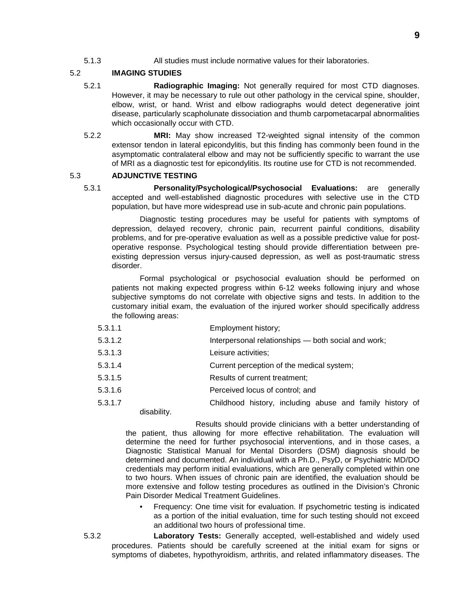5.1.3 All studies must include normative values for their laboratories.

### 5.2 **IMAGING STUDIES**

- 5.2.1 **Radiographic Imaging:** Not generally required for most CTD diagnoses. However, it may be necessary to rule out other pathology in the cervical spine, shoulder, elbow, wrist, or hand. Wrist and elbow radiographs would detect degenerative joint disease, particularly scapholunate dissociation and thumb carpometacarpal abnormalities which occasionally occur with CTD.
- 5.2.2 **MRI:** May show increased T2-weighted signal intensity of the common extensor tendon in lateral epicondylitis, but this finding has commonly been found in the asymptomatic contralateral elbow and may not be sufficiently specific to warrant the use of MRI as a diagnostic test for epicondylitis. Its routine use for CTD is not recommended.

### 5.3 **ADJUNCTIVE TESTING**

5.3.1 **Personality/Psychological/Psychosocial Evaluations:** are generally accepted and well-established diagnostic procedures with selective use in the CTD population, but have more widespread use in sub-acute and chronic pain populations.

Diagnostic testing procedures may be useful for patients with symptoms of depression, delayed recovery, chronic pain, recurrent painful conditions, disability problems, and for pre-operative evaluation as well as a possible predictive value for postoperative response. Psychological testing should provide differentiation between preexisting depression versus injury-caused depression, as well as post-traumatic stress disorder.

Formal psychological or psychosocial evaluation should be performed on patients not making expected progress within 6-12 weeks following injury and whose subjective symptoms do not correlate with objective signs and tests. In addition to the customary initial exam, the evaluation of the injured worker should specifically address the following areas:

- 5.3.1.1 Employment history;
- 5.3.1.2 Interpersonal relationships both social and work;
- 5.3.1.3 Leisure activities;
- 5.3.1.4 Current perception of the medical system;
- 5.3.1.5 Results of current treatment;
- 5.3.1.6 Perceived locus of control; and
- 5.3.1.7 Childhood history, including abuse and family history of disability.

Results should provide clinicians with a better understanding of the patient, thus allowing for more effective rehabilitation. The evaluation will determine the need for further psychosocial interventions, and in those cases, a Diagnostic Statistical Manual for Mental Disorders (DSM) diagnosis should be determined and documented. An individual with a Ph.D., PsyD, or Psychiatric MD/DO credentials may perform initial evaluations, which are generally completed within one to two hours. When issues of chronic pain are identified, the evaluation should be more extensive and follow testing procedures as outlined in the Division's Chronic Pain Disorder Medical Treatment Guidelines.

- Frequency: One time visit for evaluation. If psychometric testing is indicated as a portion of the initial evaluation, time for such testing should not exceed an additional two hours of professional time.
- 5.3.2 **Laboratory Tests:** Generally accepted, well-established and widely used procedures. Patients should be carefully screened at the initial exam for signs or symptoms of diabetes, hypothyroidism, arthritis, and related inflammatory diseases. The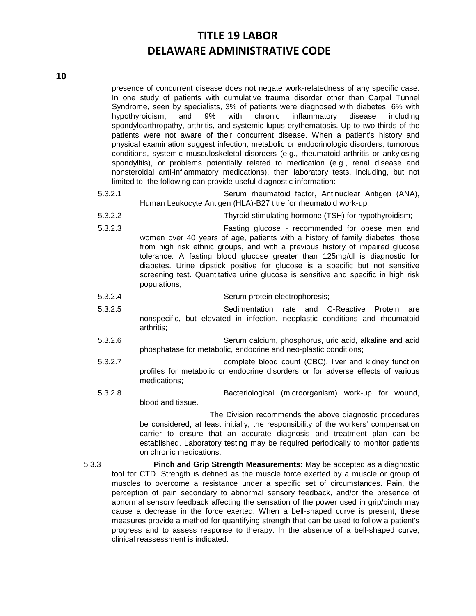presence of concurrent disease does not negate work-relatedness of any specific case. In one study of patients with cumulative trauma disorder other than Carpal Tunnel Syndrome, seen by specialists, 3% of patients were diagnosed with diabetes, 6% with hypothyroidism, and 9% with chronic inflammatory disease including spondyloarthropathy, arthritis, and systemic lupus erythematosis. Up to two thirds of the patients were not aware of their concurrent disease. When a patient's history and physical examination suggest infection, metabolic or endocrinologic disorders, tumorous conditions, systemic musculoskeletal disorders (e.g., rheumatoid arthritis or ankylosing spondylitis), or problems potentially related to medication (e.g., renal disease and nonsteroidal anti-inflammatory medications), then laboratory tests, including, but not limited to, the following can provide useful diagnostic information:

- 5.3.2.1 Serum rheumatoid factor, Antinuclear Antigen (ANA), Human Leukocyte Antigen (HLA)-B27 titre for rheumatoid work-up;
- 5.3.2.2 Thyroid stimulating hormone (TSH) for hypothyroidism;
- 5.3.2.3 Fasting glucose recommended for obese men and women over 40 years of age, patients with a history of family diabetes, those from high risk ethnic groups, and with a previous history of impaired glucose tolerance. A fasting blood glucose greater than 125mg/dl is diagnostic for diabetes. Urine dipstick positive for glucose is a specific but not sensitive screening test. Quantitative urine glucose is sensitive and specific in high risk populations;
- 5.3.2.4 Serum protein electrophoresis;
- 5.3.2.5 Sedimentation rate and C-Reactive Protein are nonspecific, but elevated in infection, neoplastic conditions and rheumatoid arthritis;
- 5.3.2.6 Serum calcium, phosphorus, uric acid, alkaline and acid phosphatase for metabolic, endocrine and neo-plastic conditions;
- 5.3.2.7 complete blood count (CBC), liver and kidney function profiles for metabolic or endocrine disorders or for adverse effects of various medications;
- 5.3.2.8 Bacteriological (microorganism) work-up for wound, blood and tissue.

The Division recommends the above diagnostic procedures be considered, at least initially, the responsibility of the workers' compensation carrier to ensure that an accurate diagnosis and treatment plan can be established. Laboratory testing may be required periodically to monitor patients on chronic medications.

5.3.3 **Pinch and Grip Strength Measurements:** May be accepted as a diagnostic tool for CTD. Strength is defined as the muscle force exerted by a muscle or group of muscles to overcome a resistance under a specific set of circumstances. Pain, the perception of pain secondary to abnormal sensory feedback, and/or the presence of abnormal sensory feedback affecting the sensation of the power used in grip/pinch may cause a decrease in the force exerted. When a bell-shaped curve is present, these measures provide a method for quantifying strength that can be used to follow a patient's progress and to assess response to therapy. In the absence of a bell-shaped curve, clinical reassessment is indicated.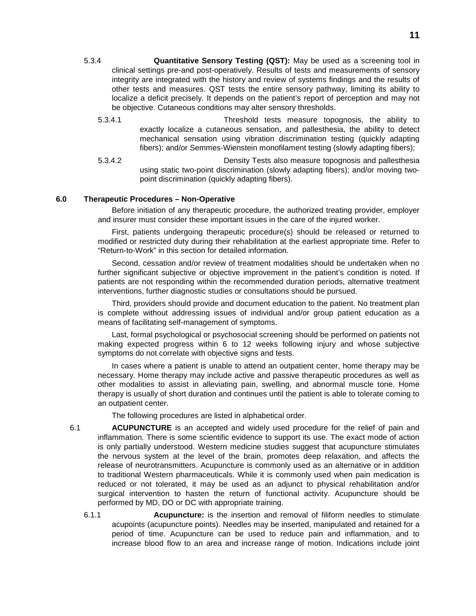- 5.3.4 **Quantitative Sensory Testing (QST):** May be used as a screening tool in clinical settings pre-and post-operatively. Results of tests and measurements of sensory integrity are integrated with the history and review of systems findings and the results of other tests and measures. QST tests the entire sensory pathway, limiting its ability to localize a deficit precisely. It depends on the patient's report of perception and may not be objective. Cutaneous conditions may alter sensory thresholds.
	- 5.3.4.1 Threshold tests measure topognosis, the ability to exactly localize a cutaneous sensation, and pallesthesia, the ability to detect mechanical sensation using vibration discrimination testing (quickly adapting fibers); and/or Semmes-Wienstein monofilament testing (slowly adapting fibers);
	- 5.3.4.2 Density Tests also measure topognosis and pallesthesia using static two-point discrimination (slowly adapting fibers); and/or moving twopoint discrimination (quickly adapting fibers).

#### **6.0 Therapeutic Procedures – Non-Operative**

Before initiation of any therapeutic procedure, the authorized treating provider, employer and insurer must consider these important issues in the care of the injured worker.

First, patients undergoing therapeutic procedure(s) should be released or returned to modified or restricted duty during their rehabilitation at the earliest appropriate time. Refer to "Return-to-Work" in this section for detailed information.

Second, cessation and/or review of treatment modalities should be undertaken when no further significant subjective or objective improvement in the patient's condition is noted. If patients are not responding within the recommended duration periods, alternative treatment interventions, further diagnostic studies or consultations should be pursued.

Third, providers should provide and document education to the patient. No treatment plan is complete without addressing issues of individual and/or group patient education as a means of facilitating self-management of symptoms.

Last, formal psychological or psychosocial screening should be performed on patients not making expected progress within 6 to 12 weeks following injury and whose subjective symptoms do not correlate with objective signs and tests.

In cases where a patient is unable to attend an outpatient center, home therapy may be necessary. Home therapy may include active and passive therapeutic procedures as well as other modalities to assist in alleviating pain, swelling, and abnormal muscle tone. Home therapy is usually of short duration and continues until the patient is able to tolerate coming to an outpatient center.

The following procedures are listed in alphabetical order.

- 6.1 **ACUPUNCTURE** is an accepted and widely used procedure for the relief of pain and inflammation. There is some scientific evidence to support its use. The exact mode of action is only partially understood. Western medicine studies suggest that acupuncture stimulates the nervous system at the level of the brain, promotes deep relaxation, and affects the release of neurotransmitters. Acupuncture is commonly used as an alternative or in addition to traditional Western pharmaceuticals. While it is commonly used when pain medication is reduced or not tolerated, it may be used as an adjunct to physical rehabilitation and/or surgical intervention to hasten the return of functional activity. Acupuncture should be performed by MD, DO or DC with appropriate training.
	- 6.1.1 **Acupuncture:** is the insertion and removal of filiform needles to stimulate acupoints (acupuncture points). Needles may be inserted, manipulated and retained for a period of time. Acupuncture can be used to reduce pain and inflammation, and to increase blood flow to an area and increase range of motion. Indications include joint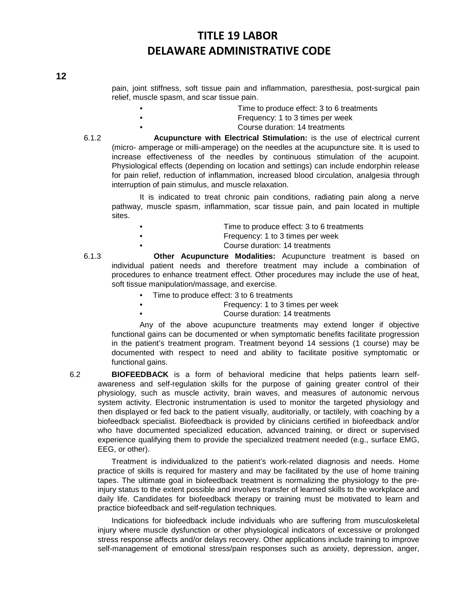pain, joint stiffness, soft tissue pain and inflammation, paresthesia, post-surgical pain relief, muscle spasm, and scar tissue pain.

- Time to produce effect: 3 to 6 treatments
	- Frequency: 1 to 3 times per week
		- Course duration: 14 treatments

6.1.2 **Acupuncture with Electrical Stimulation:** is the use of electrical current (micro- amperage or milli-amperage) on the needles at the acupuncture site. It is used to increase effectiveness of the needles by continuous stimulation of the acupoint. Physiological effects (depending on location and settings) can include endorphin release for pain relief, reduction of inflammation, increased blood circulation, analgesia through interruption of pain stimulus, and muscle relaxation.

It is indicated to treat chronic pain conditions, radiating pain along a nerve pathway, muscle spasm, inflammation, scar tissue pain, and pain located in multiple sites.

- Time to produce effect: 3 to 6 treatments
- Frequency: 1 to 3 times per week

• Course duration: 14 treatments

6.1.3 **Other Acupuncture Modalities:** Acupuncture treatment is based on individual patient needs and therefore treatment may include a combination of procedures to enhance treatment effect. Other procedures may include the use of heat, soft tissue manipulation/massage, and exercise.

- Time to produce effect: 3 to 6 treatments
	- Frequency: 1 to 3 times per week
		- Course duration: 14 treatments

Any of the above acupuncture treatments may extend longer if objective functional gains can be documented or when symptomatic benefits facilitate progression in the patient's treatment program. Treatment beyond 14 sessions (1 course) may be documented with respect to need and ability to facilitate positive symptomatic or functional gains.

6.2 **BIOFEEDBACK** is a form of behavioral medicine that helps patients learn selfawareness and self-regulation skills for the purpose of gaining greater control of their physiology, such as muscle activity, brain waves, and measures of autonomic nervous system activity. Electronic instrumentation is used to monitor the targeted physiology and then displayed or fed back to the patient visually, auditorially, or tactilely, with coaching by a biofeedback specialist. Biofeedback is provided by clinicians certified in biofeedback and/or who have documented specialized education, advanced training, or direct or supervised experience qualifying them to provide the specialized treatment needed (e.g., surface EMG, EEG, or other).

Treatment is individualized to the patient's work-related diagnosis and needs. Home practice of skills is required for mastery and may be facilitated by the use of home training tapes. The ultimate goal in biofeedback treatment is normalizing the physiology to the preinjury status to the extent possible and involves transfer of learned skills to the workplace and daily life. Candidates for biofeedback therapy or training must be motivated to learn and practice biofeedback and self-regulation techniques.

Indications for biofeedback include individuals who are suffering from musculoskeletal injury where muscle dysfunction or other physiological indicators of excessive or prolonged stress response affects and/or delays recovery. Other applications include training to improve self-management of emotional stress/pain responses such as anxiety, depression, anger,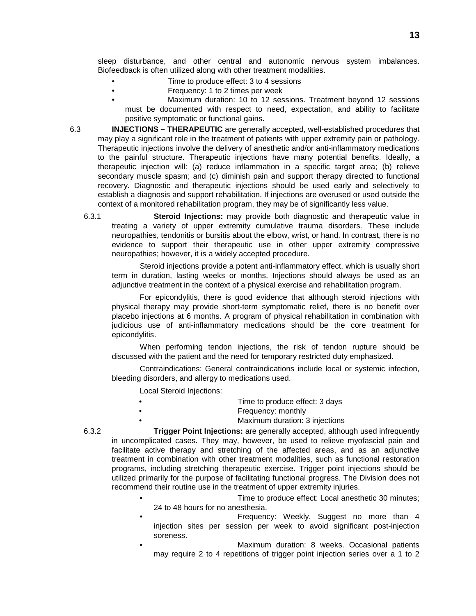sleep disturbance, and other central and autonomic nervous system imbalances. Biofeedback is often utilized along with other treatment modalities.

- Time to produce effect: 3 to 4 sessions
- Frequency: 1 to 2 times per week
- Maximum duration: 10 to 12 sessions. Treatment beyond 12 sessions must be documented with respect to need, expectation, and ability to facilitate positive symptomatic or functional gains.

6.3 **INJECTIONS – THERAPEUTIC** are generally accepted, well-established procedures that may play a significant role in the treatment of patients with upper extremity pain or pathology. Therapeutic injections involve the delivery of anesthetic and/or anti-inflammatory medications to the painful structure. Therapeutic injections have many potential benefits. Ideally, a therapeutic injection will: (a) reduce inflammation in a specific target area; (b) relieve secondary muscle spasm; and (c) diminish pain and support therapy directed to functional recovery. Diagnostic and therapeutic injections should be used early and selectively to establish a diagnosis and support rehabilitation. If injections are overused or used outside the context of a monitored rehabilitation program, they may be of significantly less value.

6.3.1 **Steroid Injections:** may provide both diagnostic and therapeutic value in treating a variety of upper extremity cumulative trauma disorders. These include neuropathies, tendonitis or bursitis about the elbow, wrist, or hand. In contrast, there is no evidence to support their therapeutic use in other upper extremity compressive neuropathies; however, it is a widely accepted procedure.

Steroid injections provide a potent anti-inflammatory effect, which is usually short term in duration, lasting weeks or months. Injections should always be used as an adjunctive treatment in the context of a physical exercise and rehabilitation program.

For epicondylitis, there is good evidence that although steroid injections with physical therapy may provide short-term symptomatic relief, there is no benefit over placebo injections at 6 months. A program of physical rehabilitation in combination with judicious use of anti-inflammatory medications should be the core treatment for epicondylitis.

When performing tendon injections, the risk of tendon rupture should be discussed with the patient and the need for temporary restricted duty emphasized.

Contraindications: General contraindications include local or systemic infection, bleeding disorders, and allergy to medications used.

Local Steroid Injections:

- Time to produce effect: 3 days
- Frequency: monthly
	- Maximum duration: 3 injections

6.3.2 **Trigger Point Injections:** are generally accepted, although used infrequently in uncomplicated cases. They may, however, be used to relieve myofascial pain and facilitate active therapy and stretching of the affected areas, and as an adjunctive treatment in combination with other treatment modalities, such as functional restoration programs, including stretching therapeutic exercise. Trigger point injections should be utilized primarily for the purpose of facilitating functional progress. The Division does not recommend their routine use in the treatment of upper extremity injuries.

- Time to produce effect: Local anesthetic 30 minutes; 24 to 48 hours for no anesthesia.
- Frequency: Weekly. Suggest no more than 4 injection sites per session per week to avoid significant post-injection soreness.
- Maximum duration: 8 weeks. Occasional patients may require 2 to 4 repetitions of trigger point injection series over a 1 to 2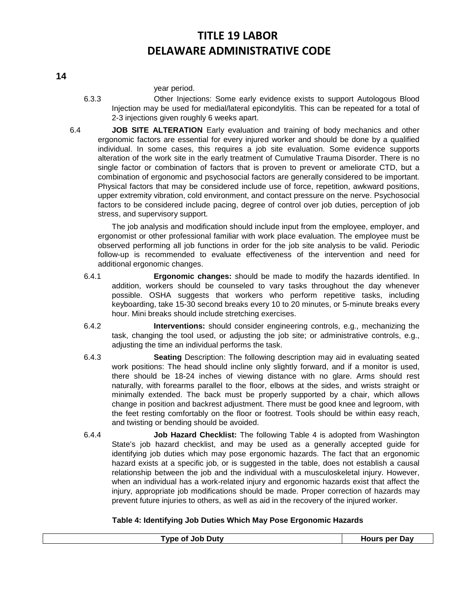year period.

- 6.3.3 Other Injections: Some early evidence exists to support Autologous Blood Injection may be used for medial/lateral epicondylitis. This can be repeated for a total of 2-3 injections given roughly 6 weeks apart.
- 6.4 **JOB SITE ALTERATION** Early evaluation and training of body mechanics and other ergonomic factors are essential for every injured worker and should be done by a qualified individual. In some cases, this requires a job site evaluation. Some evidence supports alteration of the work site in the early treatment of Cumulative Trauma Disorder. There is no single factor or combination of factors that is proven to prevent or ameliorate CTD, but a combination of ergonomic and psychosocial factors are generally considered to be important. Physical factors that may be considered include use of force, repetition, awkward positions, upper extremity vibration, cold environment, and contact pressure on the nerve. Psychosocial factors to be considered include pacing, degree of control over job duties, perception of job stress, and supervisory support.

The job analysis and modification should include input from the employee, employer, and ergonomist or other professional familiar with work place evaluation. The employee must be observed performing all job functions in order for the job site analysis to be valid. Periodic follow-up is recommended to evaluate effectiveness of the intervention and need for additional ergonomic changes.

- 6.4.1 **Ergonomic changes:** should be made to modify the hazards identified. In addition, workers should be counseled to vary tasks throughout the day whenever possible. OSHA suggests that workers who perform repetitive tasks, including keyboarding, take 15-30 second breaks every 10 to 20 minutes, or 5-minute breaks every hour. Mini breaks should include stretching exercises.
- 6.4.2 **Interventions:** should consider engineering controls, e.g., mechanizing the task, changing the tool used, or adjusting the job site; or administrative controls, e.g., adjusting the time an individual performs the task.
- 6.4.3 **Seating** Description: The following description may aid in evaluating seated work positions: The head should incline only slightly forward, and if a monitor is used, there should be 18-24 inches of viewing distance with no glare. Arms should rest naturally, with forearms parallel to the floor, elbows at the sides, and wrists straight or minimally extended. The back must be properly supported by a chair, which allows change in position and backrest adjustment. There must be good knee and legroom, with the feet resting comfortably on the floor or footrest. Tools should be within easy reach, and twisting or bending should be avoided.
- 6.4.4 **Job Hazard Checklist:** The following Table 4 is adopted from Washington State's job hazard checklist, and may be used as a generally accepted guide for identifying job duties which may pose ergonomic hazards. The fact that an ergonomic hazard exists at a specific job, or is suggested in the table, does not establish a causal relationship between the job and the individual with a musculoskeletal injury. However, when an individual has a work-related injury and ergonomic hazards exist that affect the injury, appropriate job modifications should be made. Proper correction of hazards may prevent future injuries to others, as well as aid in the recovery of the injured worker.

### **Table 4: Identifying Job Duties Which May Pose Ergonomic Hazards**

| <b>Type of Job Duty</b> | <b>Hours per Day</b> |
|-------------------------|----------------------|
|                         |                      |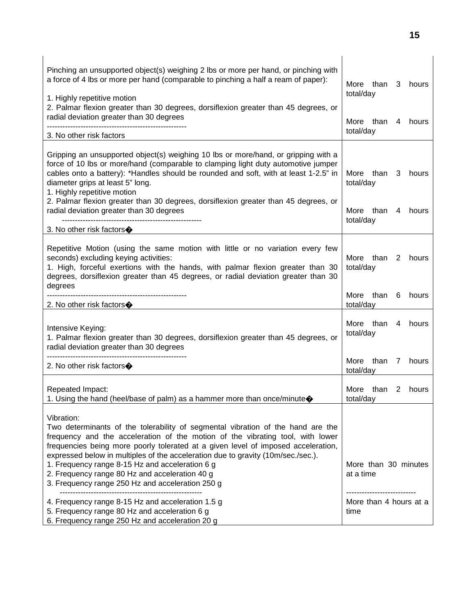| Pinching an unsupported object(s) weighing 2 lbs or more per hand, or pinching with<br>a force of 4 lbs or more per hand (comparable to pinching a half a ream of paper):<br>1. Highly repetitive motion                                                                                                                                                                                                                                                                                                          | More than<br>3<br>hours<br>total/day                 |
|-------------------------------------------------------------------------------------------------------------------------------------------------------------------------------------------------------------------------------------------------------------------------------------------------------------------------------------------------------------------------------------------------------------------------------------------------------------------------------------------------------------------|------------------------------------------------------|
| 2. Palmar flexion greater than 30 degrees, dorsiflexion greater than 45 degrees, or<br>radial deviation greater than 30 degrees                                                                                                                                                                                                                                                                                                                                                                                   | More than<br>4 hours                                 |
| 3. No other risk factors                                                                                                                                                                                                                                                                                                                                                                                                                                                                                          | total/day                                            |
| Gripping an unsupported object(s) weighing 10 lbs or more/hand, or gripping with a<br>force of 10 lbs or more/hand (comparable to clamping light duty automotive jumper<br>cables onto a battery): *Handles should be rounded and soft, with at least 1-2.5" in<br>diameter grips at least 5" long.<br>1. Highly repetitive motion                                                                                                                                                                                | than<br>hours<br>More<br>3<br>total/day              |
| 2. Palmar flexion greater than 30 degrees, dorsiflexion greater than 45 degrees, or<br>radial deviation greater than 30 degrees                                                                                                                                                                                                                                                                                                                                                                                   | More than<br>hours<br>4<br>total/day                 |
| 3. No other risk factors $\diamondsuit$                                                                                                                                                                                                                                                                                                                                                                                                                                                                           |                                                      |
| Repetitive Motion (using the same motion with little or no variation every few<br>seconds) excluding keying activities:<br>1. High, forceful exertions with the hands, with palmar flexion greater than 30<br>degrees, dorsiflexion greater than 45 degrees, or radial deviation greater than 30<br>degrees                                                                                                                                                                                                       | More than<br>2 hours<br>total/day                    |
| 2. No other risk factors $\bigcirc$                                                                                                                                                                                                                                                                                                                                                                                                                                                                               | More<br>than<br>hours<br>6<br>total/day              |
| Intensive Keying:<br>1. Palmar flexion greater than 30 degrees, dorsiflexion greater than 45 degrees, or<br>radial deviation greater than 30 degrees                                                                                                                                                                                                                                                                                                                                                              | More than<br>hours<br>4<br>total/day                 |
| 2. No other risk factors $\diamondsuit$                                                                                                                                                                                                                                                                                                                                                                                                                                                                           | More<br>than<br>hours<br>$\overline{7}$<br>total/day |
| Repeated Impact:<br>1. Using the hand (heel/base of palm) as a hammer more than once/minute                                                                                                                                                                                                                                                                                                                                                                                                                       | More than<br>2<br>hours<br>total/day                 |
| Vibration:<br>Two determinants of the tolerability of segmental vibration of the hand are the<br>frequency and the acceleration of the motion of the vibrating tool, with lower<br>frequencies being more poorly tolerated at a given level of imposed acceleration,<br>expressed below in multiples of the acceleration due to gravity (10m/sec./sec.).<br>1. Frequency range 8-15 Hz and acceleration 6 g<br>2. Frequency range 80 Hz and acceleration 40 g<br>3. Frequency range 250 Hz and acceleration 250 g | More than 30 minutes<br>at a time                    |
| 4. Frequency range 8-15 Hz and acceleration 1.5 g<br>5. Frequency range 80 Hz and acceleration 6 g<br>6. Frequency range 250 Hz and acceleration 20 g                                                                                                                                                                                                                                                                                                                                                             | <br>More than 4 hours at a<br>time                   |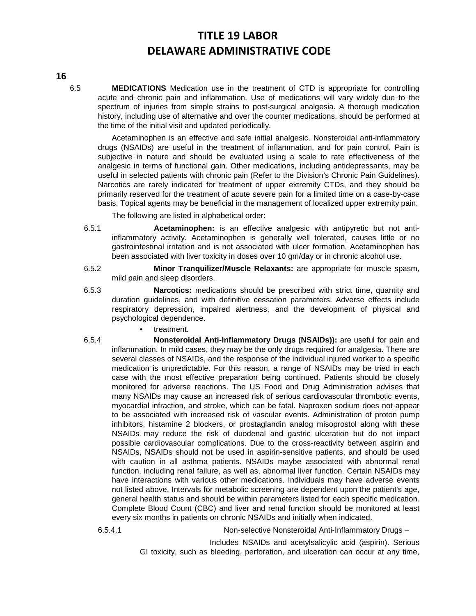**16**

6.5 **MEDICATIONS** Medication use in the treatment of CTD is appropriate for controlling acute and chronic pain and inflammation. Use of medications will vary widely due to the spectrum of injuries from simple strains to post-surgical analgesia. A thorough medication history, including use of alternative and over the counter medications, should be performed at the time of the initial visit and updated periodically.

Acetaminophen is an effective and safe initial analgesic. Nonsteroidal anti-inflammatory drugs (NSAIDs) are useful in the treatment of inflammation, and for pain control. Pain is subjective in nature and should be evaluated using a scale to rate effectiveness of the analgesic in terms of functional gain. Other medications, including antidepressants, may be useful in selected patients with chronic pain (Refer to the Division's Chronic Pain Guidelines). Narcotics are rarely indicated for treatment of upper extremity CTDs, and they should be primarily reserved for the treatment of acute severe pain for a limited time on a case-by-case basis. Topical agents may be beneficial in the management of localized upper extremity pain.

The following are listed in alphabetical order:

- 6.5.1 **Acetaminophen:** is an effective analgesic with antipyretic but not antiinflammatory activity. Acetaminophen is generally well tolerated, causes little or no gastrointestinal irritation and is not associated with ulcer formation. Acetaminophen has been associated with liver toxicity in doses over 10 gm/day or in chronic alcohol use.
- 6.5.2 **Minor Tranquilizer/Muscle Relaxants:** are appropriate for muscle spasm, mild pain and sleep disorders.
- 6.5.3 **Narcotics:** medications should be prescribed with strict time, quantity and duration guidelines, and with definitive cessation parameters. Adverse effects include respiratory depression, impaired alertness, and the development of physical and psychological dependence.
	- treatment.
- 6.5.4 **Nonsteroidal Anti-Inflammatory Drugs (NSAIDs)):** are useful for pain and inflammation. In mild cases, they may be the only drugs required for analgesia. There are several classes of NSAIDs, and the response of the individual injured worker to a specific medication is unpredictable. For this reason, a range of NSAIDs may be tried in each case with the most effective preparation being continued. Patients should be closely monitored for adverse reactions. The US Food and Drug Administration advises that many NSAIDs may cause an increased risk of serious cardiovascular thrombotic events, myocardial infraction, and stroke, which can be fatal. Naproxen sodium does not appear to be associated with increased risk of vascular events. Administration of proton pump inhibitors, histamine 2 blockers, or prostaglandin analog misoprostol along with these NSAIDs may reduce the risk of duodenal and gastric ulceration but do not impact possible cardiovascular complications. Due to the cross-reactivity between aspirin and NSAIDs, NSAIDs should not be used in aspirin-sensitive patients, and should be used with caution in all asthma patients. NSAIDs maybe associated with abnormal renal function, including renal failure, as well as, abnormal liver function. Certain NSAIDs may have interactions with various other medications. Individuals may have adverse events not listed above. Intervals for metabolic screening are dependent upon the patient's age, general health status and should be within parameters listed for each specific medication. Complete Blood Count (CBC) and liver and renal function should be monitored at least every six months in patients on chronic NSAIDs and initially when indicated.

6.5.4.1 Non-selective Nonsteroidal Anti-Inflammatory Drugs –

Includes NSAIDs and acetylsalicylic acid (aspirin). Serious GI toxicity, such as bleeding, perforation, and ulceration can occur at any time,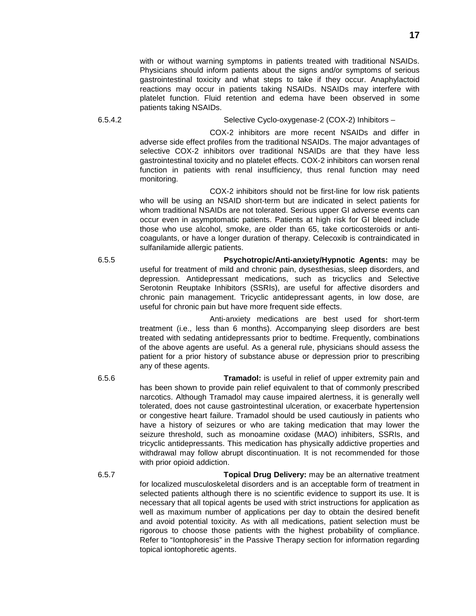with or without warning symptoms in patients treated with traditional NSAIDs. Physicians should inform patients about the signs and/or symptoms of serious gastrointestinal toxicity and what steps to take if they occur. Anaphylactoid reactions may occur in patients taking NSAIDs. NSAIDs may interfere with platelet function. Fluid retention and edema have been observed in some patients taking NSAIDs.

6.5.4.2 Selective Cyclo-oxygenase-2 (COX-2) Inhibitors –

COX-2 inhibitors are more recent NSAIDs and differ in adverse side effect profiles from the traditional NSAIDs. The major advantages of selective COX-2 inhibitors over traditional NSAIDs are that they have less gastrointestinal toxicity and no platelet effects. COX-2 inhibitors can worsen renal function in patients with renal insufficiency, thus renal function may need monitoring.

COX-2 inhibitors should not be first-line for low risk patients who will be using an NSAID short-term but are indicated in select patients for whom traditional NSAIDs are not tolerated. Serious upper GI adverse events can occur even in asymptomatic patients. Patients at high risk for GI bleed include those who use alcohol, smoke, are older than 65, take corticosteroids or anticoagulants, or have a longer duration of therapy. Celecoxib is contraindicated in sulfanilamide allergic patients.

6.5.5 **Psychotropic/Anti-anxiety/Hypnotic Agents:** may be useful for treatment of mild and chronic pain, dysesthesias, sleep disorders, and depression. Antidepressant medications, such as tricyclics and Selective Serotonin Reuptake Inhibitors (SSRIs), are useful for affective disorders and chronic pain management. Tricyclic antidepressant agents, in low dose, are useful for chronic pain but have more frequent side effects.

> Anti-anxiety medications are best used for short-term treatment (i.e., less than 6 months). Accompanying sleep disorders are best treated with sedating antidepressants prior to bedtime. Frequently, combinations of the above agents are useful. As a general rule, physicians should assess the patient for a prior history of substance abuse or depression prior to prescribing any of these agents.

6.5.6 **Tramadol:** is useful in relief of upper extremity pain and has been shown to provide pain relief equivalent to that of commonly prescribed narcotics. Although Tramadol may cause impaired alertness, it is generally well tolerated, does not cause gastrointestinal ulceration, or exacerbate hypertension or congestive heart failure. Tramadol should be used cautiously in patients who have a history of seizures or who are taking medication that may lower the seizure threshold, such as monoamine oxidase (MAO) inhibiters, SSRIs, and tricyclic antidepressants. This medication has physically addictive properties and withdrawal may follow abrupt discontinuation. It is not recommended for those with prior opioid addiction.

6.5.7 **Topical Drug Delivery:** may be an alternative treatment for localized musculoskeletal disorders and is an acceptable form of treatment in selected patients although there is no scientific evidence to support its use. It is necessary that all topical agents be used with strict instructions for application as well as maximum number of applications per day to obtain the desired benefit and avoid potential toxicity. As with all medications, patient selection must be rigorous to choose those patients with the highest probability of compliance. Refer to "Iontophoresis" in the Passive Therapy section for information regarding topical iontophoretic agents.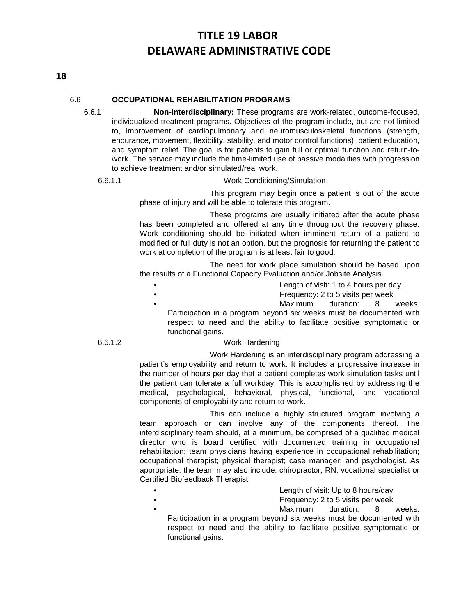### **18**

### 6.6 **OCCUPATIONAL REHABILITATION PROGRAMS**

6.6.1 **Non-Interdisciplinary:** These programs are work-related, outcome-focused, individualized treatment programs. Objectives of the program include, but are not limited to, improvement of cardiopulmonary and neuromusculoskeletal functions (strength, endurance, movement, flexibility, stability, and motor control functions), patient education, and symptom relief. The goal is for patients to gain full or optimal function and return-towork. The service may include the time-limited use of passive modalities with progression to achieve treatment and/or simulated/real work.

#### 6.6.1.1 Work Conditioning/Simulation

This program may begin once a patient is out of the acute phase of injury and will be able to tolerate this program.

These programs are usually initiated after the acute phase has been completed and offered at any time throughout the recovery phase. Work conditioning should be initiated when imminent return of a patient to modified or full duty is not an option, but the prognosis for returning the patient to work at completion of the program is at least fair to good.

The need for work place simulation should be based upon the results of a Functional Capacity Evaluation and/or Jobsite Analysis.

- Length of visit: 1 to 4 hours per day.
- Frequency: 2 to 5 visits per week
	-

Maximum duration: 8 weeks.

Participation in a program beyond six weeks must be documented with respect to need and the ability to facilitate positive symptomatic or functional gains.

#### 6.6.1.2 Work Hardening

Work Hardening is an interdisciplinary program addressing a patient's employability and return to work. It includes a progressive increase in the number of hours per day that a patient completes work simulation tasks until the patient can tolerate a full workday. This is accomplished by addressing the medical, psychological, behavioral, physical, functional, and vocational components of employability and return-to-work.

This can include a highly structured program involving a team approach or can involve any of the components thereof. The interdisciplinary team should, at a minimum, be comprised of a qualified medical director who is board certified with documented training in occupational rehabilitation; team physicians having experience in occupational rehabilitation; occupational therapist; physical therapist; case manager; and psychologist. As appropriate, the team may also include: chiropractor, RN, vocational specialist or Certified Biofeedback Therapist.

- **Example 2** Length of visit: Up to 8 hours/day
	-
- Frequency: 2 to 5 visits per week Maximum duration: 8 weeks.

Participation in a program beyond six weeks must be documented with respect to need and the ability to facilitate positive symptomatic or functional gains.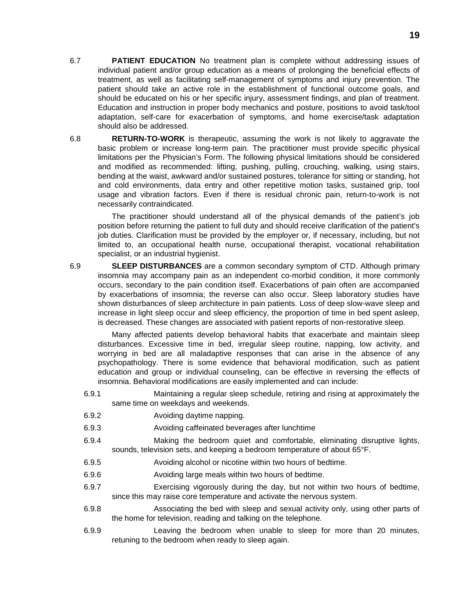6.8 **RETURN-TO-WORK** is therapeutic, assuming the work is not likely to aggravate the basic problem or increase long-term pain. The practitioner must provide specific physical limitations per the Physician's Form. The following physical limitations should be considered and modified as recommended: lifting, pushing, pulling, crouching, walking, using stairs, bending at the waist, awkward and/or sustained postures, tolerance for sitting or standing, hot and cold environments, data entry and other repetitive motion tasks, sustained grip, tool usage and vibration factors. Even if there is residual chronic pain, return-to-work is not necessarily contraindicated.

The practitioner should understand all of the physical demands of the patient's job position before returning the patient to full duty and should receive clarification of the patient's job duties. Clarification must be provided by the employer or, if necessary, including, but not limited to, an occupational health nurse, occupational therapist, vocational rehabilitation specialist, or an industrial hygienist.

6.9 **SLEEP DISTURBANCES** are a common secondary symptom of CTD. Although primary insomnia may accompany pain as an independent co-morbid condition, it more commonly occurs, secondary to the pain condition itself. Exacerbations of pain often are accompanied by exacerbations of insomnia; the reverse can also occur. Sleep laboratory studies have shown disturbances of sleep architecture in pain patients. Loss of deep slow-wave sleep and increase in light sleep occur and sleep efficiency, the proportion of time in bed spent asleep, is decreased. These changes are associated with patient reports of non-restorative sleep.

Many affected patients develop behavioral habits that exacerbate and maintain sleep disturbances. Excessive time in bed, irregular sleep routine, napping, low activity, and worrying in bed are all maladaptive responses that can arise in the absence of any psychopathology. There is some evidence that behavioral modification, such as patient education and group or individual counseling, can be effective in reversing the effects of insomnia. Behavioral modifications are easily implemented and can include:

- 6.9.1 Maintaining a regular sleep schedule, retiring and rising at approximately the same time on weekdays and weekends.
- 6.9.2 Avoiding daytime napping.
- 6.9.3 Avoiding caffeinated beverages after lunchtime
- 6.9.4 Making the bedroom quiet and comfortable, eliminating disruptive lights, sounds, television sets, and keeping a bedroom temperature of about 65°F.
- 6.9.5 Avoiding alcohol or nicotine within two hours of bedtime.
- 6.9.6 Avoiding large meals within two hours of bedtime.
- 6.9.7 Exercising vigorously during the day, but not within two hours of bedtime, since this may raise core temperature and activate the nervous system.
- 6.9.8 Associating the bed with sleep and sexual activity only, using other parts of the home for television, reading and talking on the telephone.
- 6.9.9 Leaving the bedroom when unable to sleep for more than 20 minutes, retuning to the bedroom when ready to sleep again.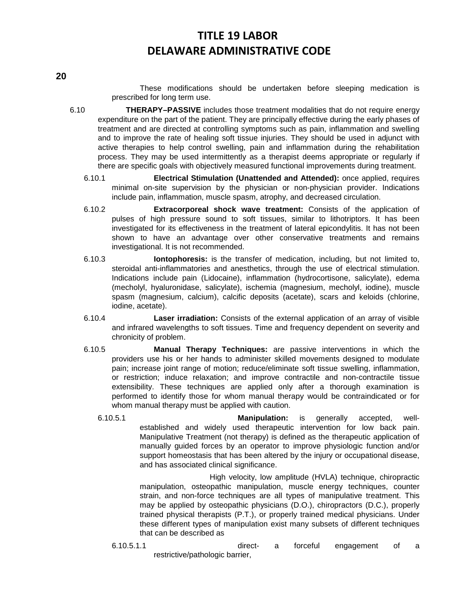These modifications should be undertaken before sleeping medication is prescribed for long term use.

- 6.10 **THERAPY–PASSIVE** includes those treatment modalities that do not require energy expenditure on the part of the patient. They are principally effective during the early phases of treatment and are directed at controlling symptoms such as pain, inflammation and swelling and to improve the rate of healing soft tissue injuries. They should be used in adjunct with active therapies to help control swelling, pain and inflammation during the rehabilitation process. They may be used intermittently as a therapist deems appropriate or regularly if there are specific goals with objectively measured functional improvements during treatment.
	- 6.10.1 **Electrical Stimulation (Unattended and Attended):** once applied, requires minimal on-site supervision by the physician or non-physician provider. Indications include pain, inflammation, muscle spasm, atrophy, and decreased circulation.
	- 6.10.2 **Extracorporeal shock wave treatment:** Consists of the application of pulses of high pressure sound to soft tissues, similar to lithotriptors. It has been investigated for its effectiveness in the treatment of lateral epicondylitis. It has not been shown to have an advantage over other conservative treatments and remains investigational. It is not recommended.
	- 6.10.3 **Iontophoresis:** is the transfer of medication, including, but not limited to, steroidal anti-inflammatories and anesthetics, through the use of electrical stimulation. Indications include pain (Lidocaine), inflammation (hydrocortisone, salicylate), edema (mecholyl, hyaluronidase, salicylate), ischemia (magnesium, mecholyl, iodine), muscle spasm (magnesium, calcium), calcific deposits (acetate), scars and keloids (chlorine, iodine, acetate).
	- 6.10.4 **Laser irradiation:** Consists of the external application of an array of visible and infrared wavelengths to soft tissues. Time and frequency dependent on severity and chronicity of problem.
	- 6.10.5 **Manual Therapy Techniques:** are passive interventions in which the providers use his or her hands to administer skilled movements designed to modulate pain; increase joint range of motion; reduce/eliminate soft tissue swelling, inflammation, or restriction; induce relaxation; and improve contractile and non-contractile tissue extensibility. These techniques are applied only after a thorough examination is performed to identify those for whom manual therapy would be contraindicated or for whom manual therapy must be applied with caution.
		- 6.10.5.1 **Manipulation:** is generally accepted, wellestablished and widely used therapeutic intervention for low back pain. Manipulative Treatment (not therapy) is defined as the therapeutic application of manually guided forces by an operator to improve physiologic function and/or support homeostasis that has been altered by the injury or occupational disease, and has associated clinical significance.

High velocity, low amplitude (HVLA) technique, chiropractic manipulation, osteopathic manipulation, muscle energy techniques, counter strain, and non-force techniques are all types of manipulative treatment. This may be applied by osteopathic physicians (D.O.), chiropractors (D.C.), properly trained physical therapists (P.T.), or properly trained medical physicians. Under these different types of manipulation exist many subsets of different techniques that can be described as

6.10.5.1.1 direct- a forceful engagement of a restrictive/pathologic barrier,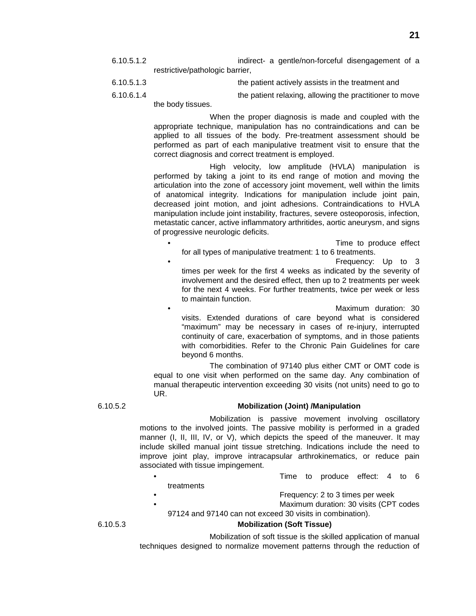- 6.10.5.1.2 indirect- a gentle/non-forceful disengagement of a restrictive/pathologic barrier,
- 6.10.5.1.3 the patient actively assists in the treatment and
- 6.10.6.1.4 the patient relaxing, allowing the practitioner to move

the body tissues.

When the proper diagnosis is made and coupled with the appropriate technique, manipulation has no contraindications and can be applied to all tissues of the body. Pre-treatment assessment should be performed as part of each manipulative treatment visit to ensure that the correct diagnosis and correct treatment is employed.

High velocity, low amplitude (HVLA) manipulation is performed by taking a joint to its end range of motion and moving the articulation into the zone of accessory joint movement, well within the limits of anatomical integrity. Indications for manipulation include joint pain, decreased joint motion, and joint adhesions. Contraindications to HVLA manipulation include joint instability, fractures, severe osteoporosis, infection, metastatic cancer, active inflammatory arthritides, aortic aneurysm, and signs of progressive neurologic deficits.

- Time to produce effect for all types of manipulative treatment: 1 to 6 treatments.
- Frequency: Up to 3 times per week for the first 4 weeks as indicated by the severity of involvement and the desired effect, then up to 2 treatments per week for the next 4 weeks. For further treatments, twice per week or less to maintain function.

• Maximum duration: 30 visits. Extended durations of care beyond what is considered "maximum" may be necessary in cases of re-injury, interrupted continuity of care, exacerbation of symptoms, and in those patients with comorbidities. Refer to the Chronic Pain Guidelines for care beyond 6 months.

The combination of 97140 plus either CMT or OMT code is equal to one visit when performed on the same day. Any combination of manual therapeutic intervention exceeding 30 visits (not units) need to go to UR.

### 6.10.5.2 **Mobilization (Joint) /Manipulation**

Mobilization is passive movement involving oscillatory motions to the involved joints. The passive mobility is performed in a graded manner (I, II, III, IV, or V), which depicts the speed of the maneuver. It may include skilled manual joint tissue stretching. Indications include the need to improve joint play, improve intracapsular arthrokinematics, or reduce pain associated with tissue impingement.

- Time to produce effect: 4 to 6
- treatments
- Frequency: 2 to 3 times per week
- Maximum duration: 30 visits (CPT codes 97124 and 97140 can not exceed 30 visits in combination).

6.10.5.3 **Mobilization (Soft Tissue)**

Mobilization of soft tissue is the skilled application of manual techniques designed to normalize movement patterns through the reduction of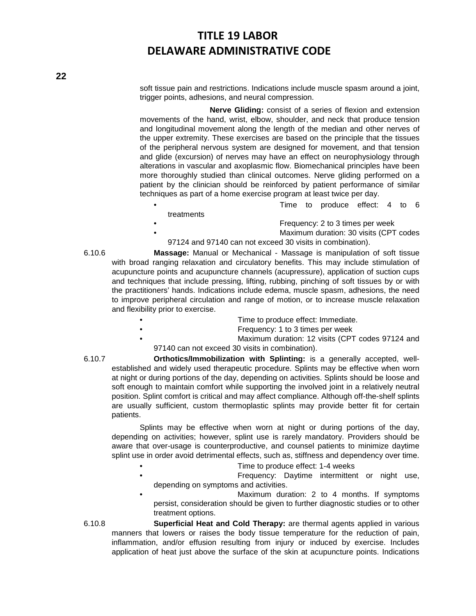soft tissue pain and restrictions. Indications include muscle spasm around a joint, trigger points, adhesions, and neural compression.

**Nerve Gliding:** consist of a series of flexion and extension movements of the hand, wrist, elbow, shoulder, and neck that produce tension and longitudinal movement along the length of the median and other nerves of the upper extremity. These exercises are based on the principle that the tissues of the peripheral nervous system are designed for movement, and that tension and glide (excursion) of nerves may have an effect on neurophysiology through alterations in vascular and axoplasmic flow. Biomechanical principles have been more thoroughly studied than clinical outcomes. Nerve gliding performed on a patient by the clinician should be reinforced by patient performance of similar techniques as part of a home exercise program at least twice per day.

- Time to produce effect: 4 to 6
- treatments
- Frequency: 2 to 3 times per week
- Maximum duration: 30 visits (CPT codes
- 97124 and 97140 can not exceed 30 visits in combination).

6.10.6 **Massage:** Manual or Mechanical - Massage is manipulation of soft tissue with broad ranging relaxation and circulatory benefits. This may include stimulation of acupuncture points and acupuncture channels (acupressure), application of suction cups and techniques that include pressing, lifting, rubbing, pinching of soft tissues by or with the practitioners' hands. Indications include edema, muscle spasm, adhesions, the need to improve peripheral circulation and range of motion, or to increase muscle relaxation and flexibility prior to exercise.

- Time to produce effect: Immediate.
	- Frequency: 1 to 3 times per week
	- Maximum duration: 12 visits (CPT codes 97124 and 97140 can not exceed 30 visits in combination).

6.10.7 **Orthotics/Immobilization with Splinting:** is a generally accepted, wellestablished and widely used therapeutic procedure. Splints may be effective when worn at night or during portions of the day, depending on activities. Splints should be loose and soft enough to maintain comfort while supporting the involved joint in a relatively neutral position. Splint comfort is critical and may affect compliance. Although off-the-shelf splints are usually sufficient, custom thermoplastic splints may provide better fit for certain patients.

Splints may be effective when worn at night or during portions of the day, depending on activities; however, splint use is rarely mandatory. Providers should be aware that over-usage is counterproductive, and counsel patients to minimize daytime splint use in order avoid detrimental effects, such as, stiffness and dependency over time.

- Time to produce effect: 1-4 weeks
- Frequency: Daytime intermittent or night use, depending on symptoms and activities.

Maximum duration: 2 to 4 months. If symptoms persist, consideration should be given to further diagnostic studies or to other treatment options.

6.10.8 **Superficial Heat and Cold Therapy:** are thermal agents applied in various manners that lowers or raises the body tissue temperature for the reduction of pain, inflammation, and/or effusion resulting from injury or induced by exercise. Includes application of heat just above the surface of the skin at acupuncture points. Indications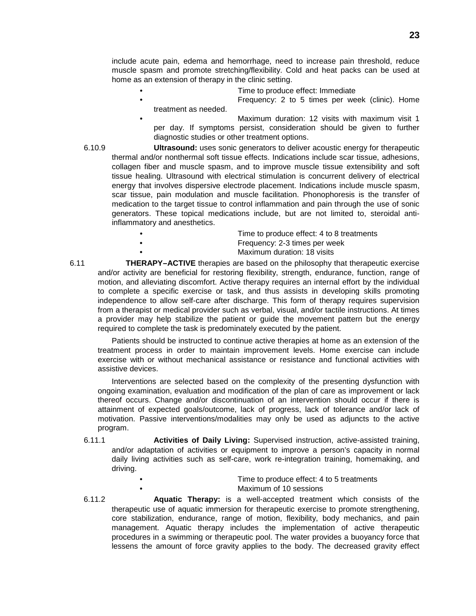include acute pain, edema and hemorrhage, need to increase pain threshold, reduce muscle spasm and promote stretching/flexibility. Cold and heat packs can be used at home as an extension of therapy in the clinic setting.

- Time to produce effect: Immediate
- Frequency: 2 to 5 times per week (clinic). Home treatment as needed.
- Maximum duration: 12 visits with maximum visit 1 per day. If symptoms persist, consideration should be given to further diagnostic studies or other treatment options.
- 6.10.9 **Ultrasound:** uses sonic generators to deliver acoustic energy for therapeutic thermal and/or nonthermal soft tissue effects. Indications include scar tissue, adhesions, collagen fiber and muscle spasm, and to improve muscle tissue extensibility and soft tissue healing. Ultrasound with electrical stimulation is concurrent delivery of electrical energy that involves dispersive electrode placement. Indications include muscle spasm, scar tissue, pain modulation and muscle facilitation. Phonophoresis is the transfer of medication to the target tissue to control inflammation and pain through the use of sonic generators. These topical medications include, but are not limited to, steroidal antiinflammatory and anesthetics.
	- Time to produce effect: 4 to 8 treatments • Frequency: 2-3 times per week • Maximum duration: 18 visits
- 6.11 **THERAPY–ACTIVE** therapies are based on the philosophy that therapeutic exercise and/or activity are beneficial for restoring flexibility, strength, endurance, function, range of motion, and alleviating discomfort. Active therapy requires an internal effort by the individual to complete a specific exercise or task, and thus assists in developing skills promoting independence to allow self-care after discharge. This form of therapy requires supervision from a therapist or medical provider such as verbal, visual, and/or tactile instructions. At times a provider may help stabilize the patient or guide the movement pattern but the energy required to complete the task is predominately executed by the patient.

Patients should be instructed to continue active therapies at home as an extension of the treatment process in order to maintain improvement levels. Home exercise can include exercise with or without mechanical assistance or resistance and functional activities with assistive devices.

Interventions are selected based on the complexity of the presenting dysfunction with ongoing examination, evaluation and modification of the plan of care as improvement or lack thereof occurs. Change and/or discontinuation of an intervention should occur if there is attainment of expected goals/outcome, lack of progress, lack of tolerance and/or lack of motivation. Passive interventions/modalities may only be used as adjuncts to the active program.

- 6.11.1 **Activities of Daily Living:** Supervised instruction, active-assisted training, and/or adaptation of activities or equipment to improve a person's capacity in normal daily living activities such as self-care, work re-integration training, homemaking, and driving.
	- Time to produce effect: 4 to 5 treatments • Maximum of 10 sessions
- 6.11.2 **Aquatic Therapy:** is a well-accepted treatment which consists of the therapeutic use of aquatic immersion for therapeutic exercise to promote strengthening, core stabilization, endurance, range of motion, flexibility, body mechanics, and pain management. Aquatic therapy includes the implementation of active therapeutic procedures in a swimming or therapeutic pool. The water provides a buoyancy force that lessens the amount of force gravity applies to the body. The decreased gravity effect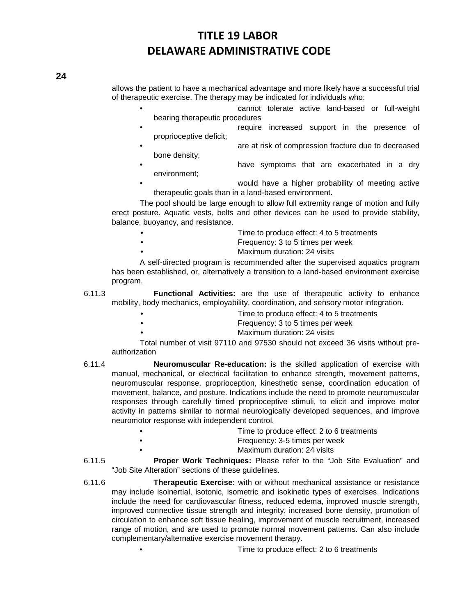allows the patient to have a mechanical advantage and more likely have a successful trial of therapeutic exercise. The therapy may be indicated for individuals who:

- cannot tolerate active land-based or full-weight bearing therapeutic procedures
- require increased support in the presence of proprioceptive deficit;
- are at risk of compression fracture due to decreased bone density;
- have symptoms that are exacerbated in a dry environment;
- would have a higher probability of meeting active therapeutic goals than in a land-based environment.

The pool should be large enough to allow full extremity range of motion and fully erect posture. Aquatic vests, belts and other devices can be used to provide stability, balance, buoyancy, and resistance.

- Time to produce effect: 4 to 5 treatments
	- Frequency: 3 to 5 times per week
	- Maximum duration: 24 visits

A self-directed program is recommended after the supervised aquatics program has been established, or, alternatively a transition to a land-based environment exercise program.

- 6.11.3 **Functional Activities:** are the use of therapeutic activity to enhance mobility, body mechanics, employability, coordination, and sensory motor integration.
	- Time to produce effect: 4 to 5 treatments
		- Frequency: 3 to 5 times per week
			- Maximum duration: 24 visits

Total number of visit 97110 and 97530 should not exceed 36 visits without preauthorization

- 6.11.4 **Neuromuscular Re-education:** is the skilled application of exercise with manual, mechanical, or electrical facilitation to enhance strength, movement patterns, neuromuscular response, proprioception, kinesthetic sense, coordination education of movement, balance, and posture. Indications include the need to promote neuromuscular responses through carefully timed proprioceptive stimuli, to elicit and improve motor activity in patterns similar to normal neurologically developed sequences, and improve neuromotor response with independent control.
	- Time to produce effect: 2 to 6 treatments
		- Frequency: 3-5 times per week
			- Maximum duration: 24 visits
- 6.11.5 **Proper Work Techniques:** Please refer to the "Job Site Evaluation" and "Job Site Alteration" sections of these guidelines.
- 6.11.6 **Therapeutic Exercise:** with or without mechanical assistance or resistance may include isoinertial, isotonic, isometric and isokinetic types of exercises. Indications include the need for cardiovascular fitness, reduced edema, improved muscle strength, improved connective tissue strength and integrity, increased bone density, promotion of circulation to enhance soft tissue healing, improvement of muscle recruitment, increased range of motion, and are used to promote normal movement patterns. Can also include complementary/alternative exercise movement therapy.
	- Time to produce effect: 2 to 6 treatments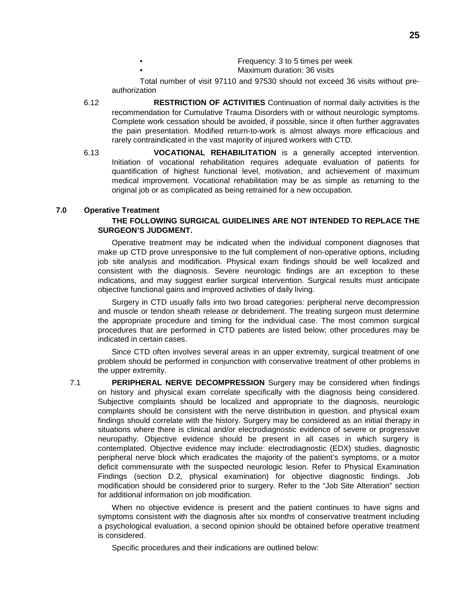- Frequency: 3 to 5 times per week Maximum duration: 36 visits
- Total number of visit 97110 and 97530 should not exceed 36 visits without preauthorization
- 6.12 **RESTRICTION OF ACTIVITIES** Continuation of normal daily activities is the recommendation for Cumulative Trauma Disorders with or without neurologic symptoms. Complete work cessation should be avoided, if possible, since it often further aggravates the pain presentation. Modified return-to-work is almost always more efficacious and rarely contraindicated in the vast majority of injured workers with CTD.
- 6.13 **VOCATIONAL REHABILITATION** is a generally accepted intervention. Initiation of vocational rehabilitation requires adequate evaluation of patients for quantification of highest functional level, motivation, and achievement of maximum medical improvement. Vocational rehabilitation may be as simple as returning to the original job or as complicated as being retrained for a new occupation.

#### **7.0 Operative Treatment**

#### **THE FOLLOWING SURGICAL GUIDELINES ARE NOT INTENDED TO REPLACE THE SURGEON'S JUDGMENT.**

Operative treatment may be indicated when the individual component diagnoses that make up CTD prove unresponsive to the full complement of non-operative options, including job site analysis and modification. Physical exam findings should be well localized and consistent with the diagnosis. Severe neurologic findings are an exception to these indications, and may suggest earlier surgical intervention. Surgical results must anticipate objective functional gains and improved activities of daily living.

Surgery in CTD usually falls into two broad categories: peripheral nerve decompression and muscle or tendon sheath release or debridement. The treating surgeon must determine the appropriate procedure and timing for the individual case. The most common surgical procedures that are performed in CTD patients are listed below; other procedures may be indicated in certain cases.

Since CTD often involves several areas in an upper extremity, surgical treatment of one problem should be performed in conjunction with conservative treatment of other problems in the upper extremity.

7.1 **PERIPHERAL NERVE DECOMPRESSION** Surgery may be considered when findings on history and physical exam correlate specifically with the diagnosis being considered. Subjective complaints should be localized and appropriate to the diagnosis, neurologic complaints should be consistent with the nerve distribution in question, and physical exam findings should correlate with the history. Surgery may be considered as an initial therapy in situations where there is clinical and/or electrodiagnostic evidence of severe or progressive neuropathy. Objective evidence should be present in all cases in which surgery is contemplated. Objective evidence may include: electrodiagnostic (EDX) studies, diagnostic peripheral nerve block which eradicates the majority of the patient's symptoms, or a motor deficit commensurate with the suspected neurologic lesion. Refer to Physical Examination Findings (section D.2, physical examination) for objective diagnostic findings. Job modification should be considered prior to surgery. Refer to the "Job Site Alteration" section for additional information on job modification.

When no objective evidence is present and the patient continues to have signs and symptoms consistent with the diagnosis after six months of conservative treatment including a psychological evaluation, a second opinion should be obtained before operative treatment is considered.

Specific procedures and their indications are outlined below: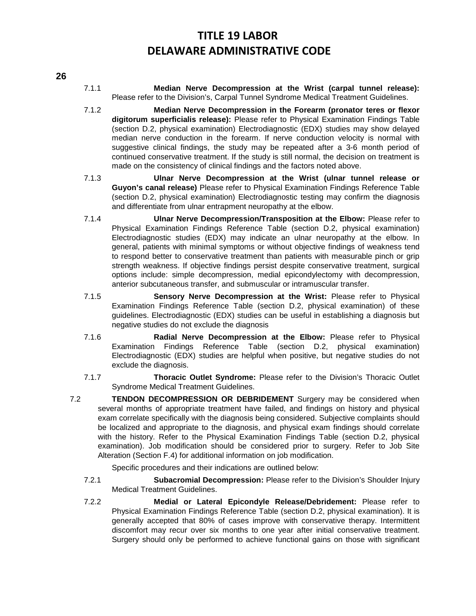### **26**

- 7.1.1 **Median Nerve Decompression at the Wrist (carpal tunnel release):** Please refer to the Division's, Carpal Tunnel Syndrome Medical Treatment Guidelines.
- 7.1.2 **Median Nerve Decompression in the Forearm (pronator teres or flexor digitorum superficialis release):** Please refer to Physical Examination Findings Table (section D.2, physical examination) Electrodiagnostic (EDX) studies may show delayed median nerve conduction in the forearm. If nerve conduction velocity is normal with suggestive clinical findings, the study may be repeated after a 3-6 month period of continued conservative treatment. If the study is still normal, the decision on treatment is made on the consistency of clinical findings and the factors noted above.
- 7.1.3 **Ulnar Nerve Decompression at the Wrist (ulnar tunnel release or Guyon's canal release)** Please refer to Physical Examination Findings Reference Table (section D.2, physical examination) Electrodiagnostic testing may confirm the diagnosis and differentiate from ulnar entrapment neuropathy at the elbow.
- 7.1.4 **Ulnar Nerve Decompression/Transposition at the Elbow:** Please refer to Physical Examination Findings Reference Table (section D.2, physical examination) Electrodiagnostic studies (EDX) may indicate an ulnar neuropathy at the elbow. In general, patients with minimal symptoms or without objective findings of weakness tend to respond better to conservative treatment than patients with measurable pinch or grip strength weakness. If objective findings persist despite conservative treatment, surgical options include: simple decompression, medial epicondylectomy with decompression, anterior subcutaneous transfer, and submuscular or intramuscular transfer.
- 7.1.5 **Sensory Nerve Decompression at the Wrist:** Please refer to Physical Examination Findings Reference Table (section D.2, physical examination) of these guidelines. Electrodiagnostic (EDX) studies can be useful in establishing a diagnosis but negative studies do not exclude the diagnosis
- 7.1.6 **Radial Nerve Decompression at the Elbow:** Please refer to Physical Examination Findings Reference Table (section D.2, physical examination) Electrodiagnostic (EDX) studies are helpful when positive, but negative studies do not exclude the diagnosis.
- 7.1.7 **Thoracic Outlet Syndrome:** Please refer to the Division's Thoracic Outlet Syndrome Medical Treatment Guidelines.
- 7.2 **TENDON DECOMPRESSION OR DEBRIDEMENT** Surgery may be considered when several months of appropriate treatment have failed, and findings on history and physical exam correlate specifically with the diagnosis being considered. Subjective complaints should be localized and appropriate to the diagnosis, and physical exam findings should correlate with the history. Refer to the Physical Examination Findings Table (section D.2, physical examination). Job modification should be considered prior to surgery. Refer to Job Site Alteration (Section F.4) for additional information on job modification.

Specific procedures and their indications are outlined below:

- 7.2.1 **Subacromial Decompression:** Please refer to the Division's Shoulder Injury Medical Treatment Guidelines.
- 7.2.2 **Medial or Lateral Epicondyle Release/Debridement:** Please refer to Physical Examination Findings Reference Table (section D.2, physical examination). It is generally accepted that 80% of cases improve with conservative therapy. Intermittent discomfort may recur over six months to one year after initial conservative treatment. Surgery should only be performed to achieve functional gains on those with significant